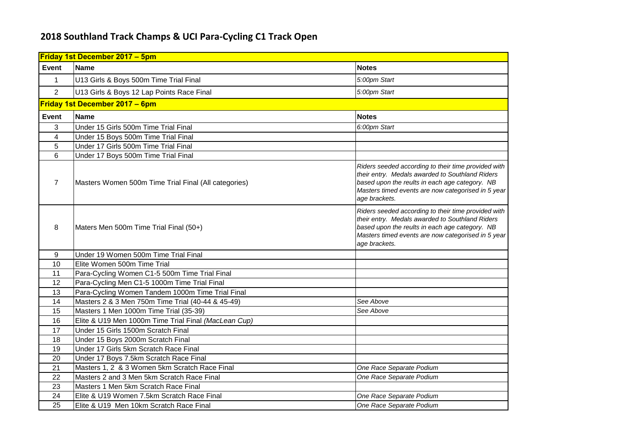## **2018 Southland Track Champs & UCI Para-Cycling C1 Track Open**

| <b>Friday 1st December 2017 - 5pm</b> |                                                      |                                                                                                                                                                                                                                 |
|---------------------------------------|------------------------------------------------------|---------------------------------------------------------------------------------------------------------------------------------------------------------------------------------------------------------------------------------|
| <b>Event</b>                          | <b>Name</b>                                          | <b>Notes</b>                                                                                                                                                                                                                    |
| $\mathbf{1}$                          | U13 Girls & Boys 500m Time Trial Final               | 5:00pm Start                                                                                                                                                                                                                    |
| 2                                     | U13 Girls & Boys 12 Lap Points Race Final            | 5:00pm Start                                                                                                                                                                                                                    |
| Friday 1st December 2017 - 6pm        |                                                      |                                                                                                                                                                                                                                 |
| <b>Event</b>                          | <b>Name</b>                                          | <b>Notes</b>                                                                                                                                                                                                                    |
| 3                                     | Under 15 Girls 500m Time Trial Final                 | 6:00pm Start                                                                                                                                                                                                                    |
| 4                                     | Under 15 Boys 500m Time Trial Final                  |                                                                                                                                                                                                                                 |
| 5                                     | Under 17 Girls 500m Time Trial Final                 |                                                                                                                                                                                                                                 |
| 6                                     | Under 17 Boys 500m Time Trial Final                  |                                                                                                                                                                                                                                 |
| $\overline{7}$                        | Masters Women 500m Time Trial Final (All categories) | Riders seeded according to their time provided with<br>their entry. Medals awarded to Southland Riders<br>based upon the reults in each age category. NB<br>Masters timed events are now categorised in 5 year<br>age brackets. |
| 8                                     | Maters Men 500m Time Trial Final (50+)               | Riders seeded according to their time provided with<br>their entry. Medals awarded to Southland Riders<br>based upon the reults in each age category. NB<br>Masters timed events are now categorised in 5 year<br>age brackets. |
| 9                                     | Under 19 Women 500m Time Trial Final                 |                                                                                                                                                                                                                                 |
| 10                                    | Elite Women 500m Time Trial                          |                                                                                                                                                                                                                                 |
| 11                                    | Para-Cycling Women C1-5 500m Time Trial Final        |                                                                                                                                                                                                                                 |
| 12                                    | Para-Cycling Men C1-5 1000m Time Trial Final         |                                                                                                                                                                                                                                 |
| 13                                    | Para-Cycling Women Tandem 1000m Time Trial Final     |                                                                                                                                                                                                                                 |
| 14                                    | Masters 2 & 3 Men 750m Time Trial (40-44 & 45-49)    | See Above                                                                                                                                                                                                                       |
| 15                                    | Masters 1 Men 1000m Time Trial (35-39)               | See Above                                                                                                                                                                                                                       |
| 16                                    | Elite & U19 Men 1000m Time Trial Final (MacLean Cup) |                                                                                                                                                                                                                                 |
| 17                                    | Under 15 Girls 1500m Scratch Final                   |                                                                                                                                                                                                                                 |
| 18                                    | Under 15 Boys 2000m Scratch Final                    |                                                                                                                                                                                                                                 |
| 19                                    | Under 17 Girls 5km Scratch Race Final                |                                                                                                                                                                                                                                 |
| 20                                    | Under 17 Boys 7.5km Scratch Race Final               |                                                                                                                                                                                                                                 |
| 21                                    | Masters 1, 2 & 3 Women 5km Scratch Race Final        | One Race Separate Podium                                                                                                                                                                                                        |
| 22                                    | Masters 2 and 3 Men 5km Scratch Race Final           | One Race Separate Podium                                                                                                                                                                                                        |
| 23                                    | Masters 1 Men 5km Scratch Race Final                 |                                                                                                                                                                                                                                 |
| 24                                    | Elite & U19 Women 7.5km Scratch Race Final           | One Race Separate Podium                                                                                                                                                                                                        |
| 25                                    | Elite & U19 Men 10km Scratch Race Final              | One Race Separate Podium                                                                                                                                                                                                        |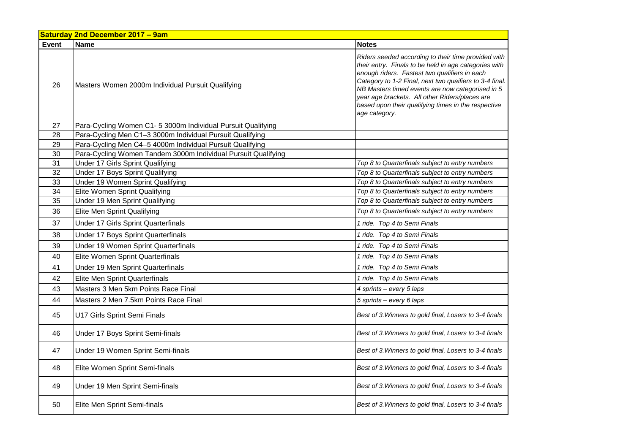| <b>Saturday 2nd December 2017 - 9am</b> |                                                               |                                                                                                                                                                                                                                                                                                                                                                                                        |
|-----------------------------------------|---------------------------------------------------------------|--------------------------------------------------------------------------------------------------------------------------------------------------------------------------------------------------------------------------------------------------------------------------------------------------------------------------------------------------------------------------------------------------------|
| Event                                   | <b>Name</b>                                                   | <b>Notes</b>                                                                                                                                                                                                                                                                                                                                                                                           |
| 26                                      | Masters Women 2000m Individual Pursuit Qualifying             | Riders seeded according to their time provided with<br>their entry. Finals to be held in age categories with<br>enough riders. Fastest two qualifiers in each<br>Category to 1-2 Final, next two quaifiers to 3-4 final.<br>NB Masters timed events are now categorised in 5<br>year age brackets. All other Riders/places are<br>based upon their qualifying times in the respective<br>age category. |
| 27                                      | Para-Cycling Women C1- 5 3000m Individual Pursuit Qualifying  |                                                                                                                                                                                                                                                                                                                                                                                                        |
| 28                                      | Para-Cycling Men C1-3 3000m Individual Pursuit Qualifying     |                                                                                                                                                                                                                                                                                                                                                                                                        |
| 29                                      | Para-Cycling Men C4-5 4000m Individual Pursuit Qualifying     |                                                                                                                                                                                                                                                                                                                                                                                                        |
| 30                                      | Para-Cycling Women Tandem 3000m Individual Pursuit Qualifying |                                                                                                                                                                                                                                                                                                                                                                                                        |
| 31                                      | Under 17 Girls Sprint Qualifying                              | Top 8 to Quarterfinals subject to entry numbers                                                                                                                                                                                                                                                                                                                                                        |
| 32                                      | Under 17 Boys Sprint Qualifying                               | Top 8 to Quarterfinals subject to entry numbers                                                                                                                                                                                                                                                                                                                                                        |
| 33                                      | Under 19 Women Sprint Qualifying                              | Top 8 to Quarterfinals subject to entry numbers                                                                                                                                                                                                                                                                                                                                                        |
| 34                                      | Elite Women Sprint Qualifying                                 | Top 8 to Quarterfinals subject to entry numbers                                                                                                                                                                                                                                                                                                                                                        |
| 35                                      | Under 19 Men Sprint Qualifying                                | Top 8 to Quarterfinals subject to entry numbers                                                                                                                                                                                                                                                                                                                                                        |
| 36                                      | Elite Men Sprint Qualifying                                   | Top 8 to Quarterfinals subject to entry numbers                                                                                                                                                                                                                                                                                                                                                        |
| 37                                      | Under 17 Girls Sprint Quarterfinals                           | 1 ride. Top 4 to Semi Finals                                                                                                                                                                                                                                                                                                                                                                           |
| 38                                      | Under 17 Boys Sprint Quarterfinals                            | 1 ride. Top 4 to Semi Finals                                                                                                                                                                                                                                                                                                                                                                           |
| 39                                      | Under 19 Women Sprint Quarterfinals                           | 1 ride. Top 4 to Semi Finals                                                                                                                                                                                                                                                                                                                                                                           |
| 40                                      | Elite Women Sprint Quarterfinals                              | 1 ride. Top 4 to Semi Finals                                                                                                                                                                                                                                                                                                                                                                           |
| 41                                      | Under 19 Men Sprint Quarterfinals                             | 1 ride. Top 4 to Semi Finals                                                                                                                                                                                                                                                                                                                                                                           |
| 42                                      | Elite Men Sprint Quarterfinals                                | 1 ride. Top 4 to Semi Finals                                                                                                                                                                                                                                                                                                                                                                           |
| 43                                      | Masters 3 Men 5km Points Race Final                           | 4 sprints – every 5 laps                                                                                                                                                                                                                                                                                                                                                                               |
| 44                                      | Masters 2 Men 7.5km Points Race Final                         | 5 sprints - every 6 laps                                                                                                                                                                                                                                                                                                                                                                               |
| 45                                      | U17 Girls Sprint Semi Finals                                  | Best of 3. Winners to gold final, Losers to 3-4 finals                                                                                                                                                                                                                                                                                                                                                 |
| 46                                      | Under 17 Boys Sprint Semi-finals                              | Best of 3. Winners to gold final, Losers to 3-4 finals                                                                                                                                                                                                                                                                                                                                                 |
| 47                                      | Under 19 Women Sprint Semi-finals                             | Best of 3. Winners to gold final, Losers to 3-4 finals                                                                                                                                                                                                                                                                                                                                                 |
| 48                                      | Elite Women Sprint Semi-finals                                | Best of 3. Winners to gold final, Losers to 3-4 finals                                                                                                                                                                                                                                                                                                                                                 |
| 49                                      | Under 19 Men Sprint Semi-finals                               | Best of 3. Winners to gold final, Losers to 3-4 finals                                                                                                                                                                                                                                                                                                                                                 |
| 50                                      | Elite Men Sprint Semi-finals                                  | Best of 3. Winners to gold final, Losers to 3-4 finals                                                                                                                                                                                                                                                                                                                                                 |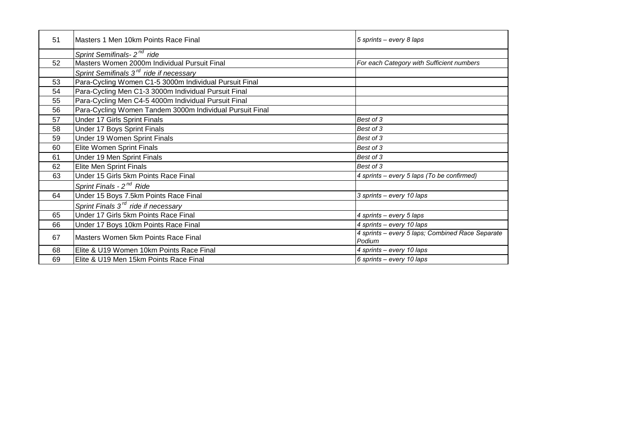| 51 | Masters 1 Men 10km Points Race Final                     | 5 sprints - every 8 laps                         |
|----|----------------------------------------------------------|--------------------------------------------------|
|    | Sprint Semifinals- 2 <sup>nd</sup> ride                  |                                                  |
| 52 | Masters Women 2000m Individual Pursuit Final             | For each Category with Sufficient numbers        |
|    | Sprint Semifinals 3 <sup>rd</sup> ride if necessary      |                                                  |
| 53 | Para-Cycling Women C1-5 3000m Individual Pursuit Final   |                                                  |
| 54 | Para-Cycling Men C1-3 3000m Individual Pursuit Final     |                                                  |
| 55 | Para-Cycling Men C4-5 4000m Individual Pursuit Final     |                                                  |
| 56 | Para-Cycling Women Tandem 3000m Individual Pursuit Final |                                                  |
| 57 | Under 17 Girls Sprint Finals                             | Best of 3                                        |
| 58 | Under 17 Boys Sprint Finals                              | Best of 3                                        |
| 59 | Under 19 Women Sprint Finals                             | Best of 3                                        |
| 60 | Elite Women Sprint Finals                                | Best of 3                                        |
| 61 | Under 19 Men Sprint Finals                               | Best of 3                                        |
| 62 | Elite Men Sprint Finals                                  | Best of 3                                        |
| 63 | Under 15 Girls 5km Points Race Final                     | 4 sprints - every 5 laps (To be confirmed)       |
|    | Sprint Finals - 2 <sup>nd</sup> Ride                     |                                                  |
| 64 | Under 15 Boys 7.5km Points Race Final                    | 3 sprints - every 10 laps                        |
|    | Sprint Finals 3 <sup>rd</sup> ride if necessary          |                                                  |
| 65 | Under 17 Girls 5km Points Race Final                     | 4 sprints - every 5 laps                         |
| 66 | Under 17 Boys 10km Points Race Final                     | 4 sprints - every 10 laps                        |
| 67 | Masters Women 5km Points Race Final                      | 4 sprints - every 5 laps; Combined Race Separate |
|    |                                                          | Podium                                           |
| 68 | Elite & U19 Women 10km Points Race Final                 | 4 sprints - every 10 laps                        |
| 69 | Elite & U19 Men 15km Points Race Final                   | 6 sprints - every 10 laps                        |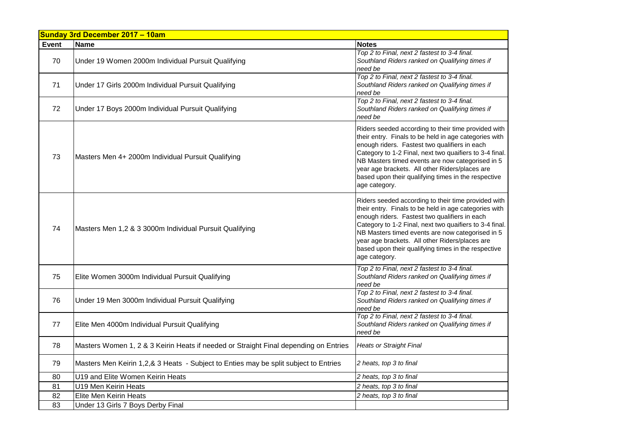| Sunday 3rd December 2017 - 10am |                                                                                      |                                                                                                                                                                                                                                                                                                                                                                                                        |
|---------------------------------|--------------------------------------------------------------------------------------|--------------------------------------------------------------------------------------------------------------------------------------------------------------------------------------------------------------------------------------------------------------------------------------------------------------------------------------------------------------------------------------------------------|
| Event                           | <b>Name</b>                                                                          | <b>Notes</b>                                                                                                                                                                                                                                                                                                                                                                                           |
| 70                              | Under 19 Women 2000m Individual Pursuit Qualifying                                   | Top 2 to Final, next 2 fastest to 3-4 final.<br>Southland Riders ranked on Qualifying times if<br>need be                                                                                                                                                                                                                                                                                              |
| 71                              | Under 17 Girls 2000m Individual Pursuit Qualifying                                   | Top 2 to Final, next 2 fastest to 3-4 final.<br>Southland Riders ranked on Qualifying times if<br>need be                                                                                                                                                                                                                                                                                              |
| 72                              | Under 17 Boys 2000m Individual Pursuit Qualifying                                    | Top 2 to Final, next 2 fastest to 3-4 final.<br>Southland Riders ranked on Qualifying times if<br>need be                                                                                                                                                                                                                                                                                              |
| 73                              | Masters Men 4+ 2000m Individual Pursuit Qualifying                                   | Riders seeded according to their time provided with<br>their entry. Finals to be held in age categories with<br>enough riders. Fastest two qualifiers in each<br>Category to 1-2 Final, next two quaifiers to 3-4 final.<br>NB Masters timed events are now categorised in 5<br>year age brackets. All other Riders/places are<br>based upon their qualifying times in the respective<br>age category. |
| 74                              | Masters Men 1,2 & 3 3000m Individual Pursuit Qualifying                              | Riders seeded according to their time provided with<br>their entry. Finals to be held in age categories with<br>enough riders. Fastest two qualifiers in each<br>Category to 1-2 Final, next two quaifiers to 3-4 final.<br>NB Masters timed events are now categorised in 5<br>year age brackets. All other Riders/places are<br>based upon their qualifying times in the respective<br>age category. |
| 75                              | Elite Women 3000m Individual Pursuit Qualifying                                      | Top 2 to Final, next 2 fastest to 3-4 final.<br>Southland Riders ranked on Qualifying times if<br>need be                                                                                                                                                                                                                                                                                              |
| 76                              | Under 19 Men 3000m Individual Pursuit Qualifying                                     | Top 2 to Final, next 2 fastest to 3-4 final.<br>Southland Riders ranked on Qualifying times if<br>need be                                                                                                                                                                                                                                                                                              |
| 77                              | Elite Men 4000m Individual Pursuit Qualifying                                        | Top 2 to Final, next 2 fastest to 3-4 final.<br>Southland Riders ranked on Qualifying times if<br>need be                                                                                                                                                                                                                                                                                              |
| 78                              | Masters Women 1, 2 & 3 Keirin Heats if needed or Straight Final depending on Entries | <b>Heats or Straight Final</b>                                                                                                                                                                                                                                                                                                                                                                         |
| 79                              | Masters Men Keirin 1,2,& 3 Heats - Subject to Enties may be split subject to Entries | 2 heats, top 3 to final                                                                                                                                                                                                                                                                                                                                                                                |
| 80                              | U19 and Elite Women Keirin Heats                                                     | 2 heats, top 3 to final                                                                                                                                                                                                                                                                                                                                                                                |
| 81                              | U19 Men Keirin Heats                                                                 | 2 heats, top 3 to final                                                                                                                                                                                                                                                                                                                                                                                |
| 82                              | Elite Men Keirin Heats                                                               | 2 heats, top 3 to final                                                                                                                                                                                                                                                                                                                                                                                |
| 83                              | Under 13 Girls 7 Boys Derby Final                                                    |                                                                                                                                                                                                                                                                                                                                                                                                        |